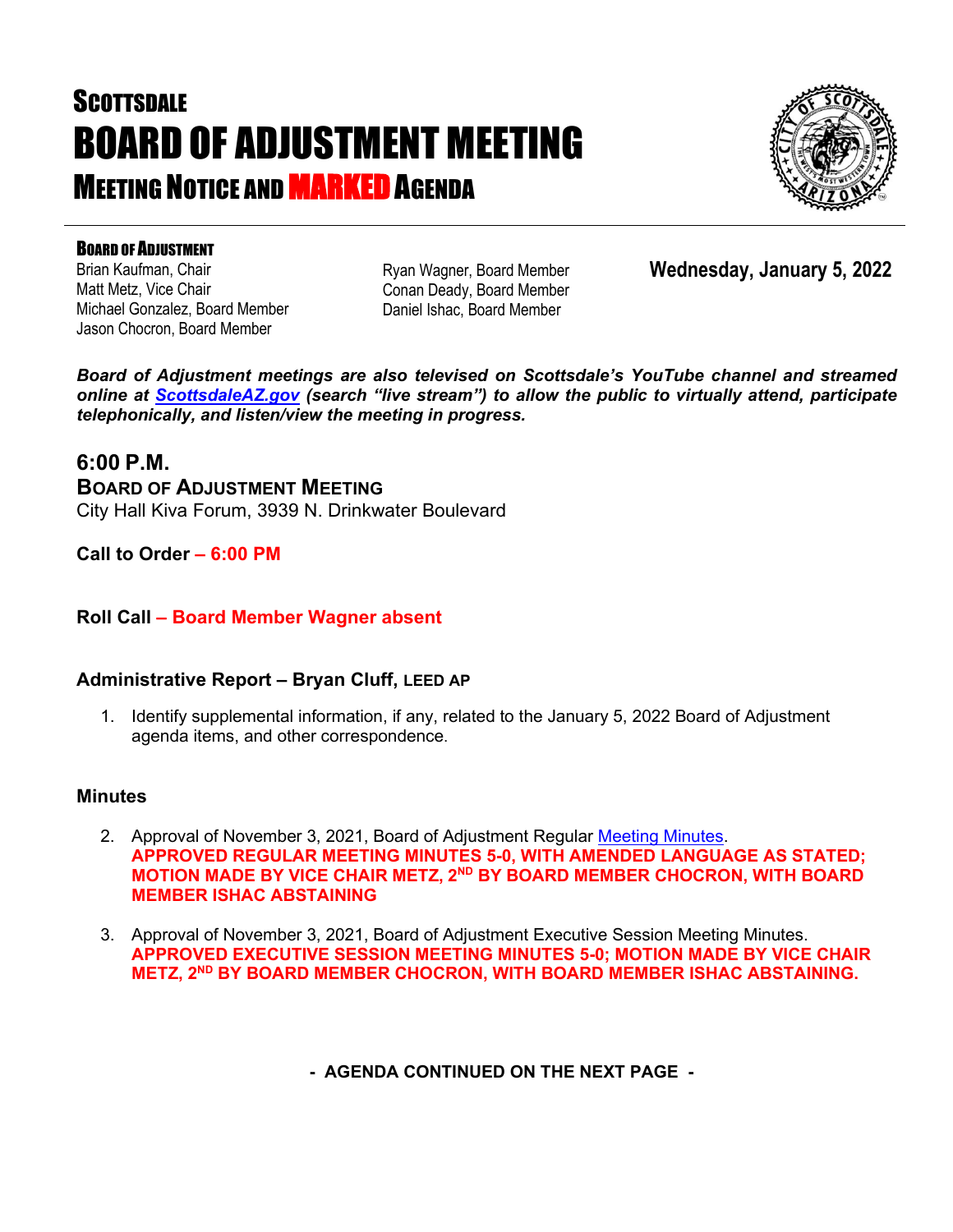# **SCOTTSDALE** BOARD OF ADJUSTMENT MEETING **MEETING NOTICE AND <b>MARKED** AGENDA



### BOARD OF ADJUSTMENT

Brian Kaufman, Chair Matt Metz, Vice Chair Michael Gonzalez, Board Member Jason Chocron, Board Member

Ryan Wagner, Board Member Conan Deady, Board Member Daniel Ishac, Board Member

**Wednesday, January 5, 2022**

*Board of Adjustment meetings are also televised on Scottsdale's YouTube channel and streamed online at [ScottsdaleAZ.gov](http://www.scottsdaleaz.gov/) (search "live stream") to allow the public to virtually attend, participate telephonically, and listen/view the meeting in progress.*

### **6:00 P.M.**

**BOARD OF ADJUSTMENT MEETING**  City Hall Kiva Forum, 3939 N. Drinkwater Boulevard

**Call to Order – 6:00 PM**

### **Roll Call – Board Member Wagner absent**

### **Administrative Report – Bryan Cluff, LEED AP**

1. Identify supplemental information, if any, related to the January 5, 2022 Board of Adjustment agenda items, and other correspondence.

### **Minutes**

- 2. Approval of November 3, 2021, Board of Adjustment Regular [Meeting Minutes.](https://eservices.scottsdaleaz.gov/planning/projectsummary/unrelated_documents/BOA_MINUTES_11032021.pdf) **APPROVED REGULAR MEETING MINUTES 5-0, WITH AMENDED LANGUAGE AS STATED; MOTION MADE BY VICE CHAIR METZ, 2ND BY BOARD MEMBER CHOCRON, WITH BOARD MEMBER ISHAC ABSTAINING**
- 3. Approval of November 3, 2021, Board of Adjustment Executive Session Meeting Minutes. **APPROVED EXECUTIVE SESSION MEETING MINUTES 5-0; MOTION MADE BY VICE CHAIR METZ, 2ND BY BOARD MEMBER CHOCRON, WITH BOARD MEMBER ISHAC ABSTAINING.**

**- AGENDA CONTINUED ON THE NEXT PAGE -**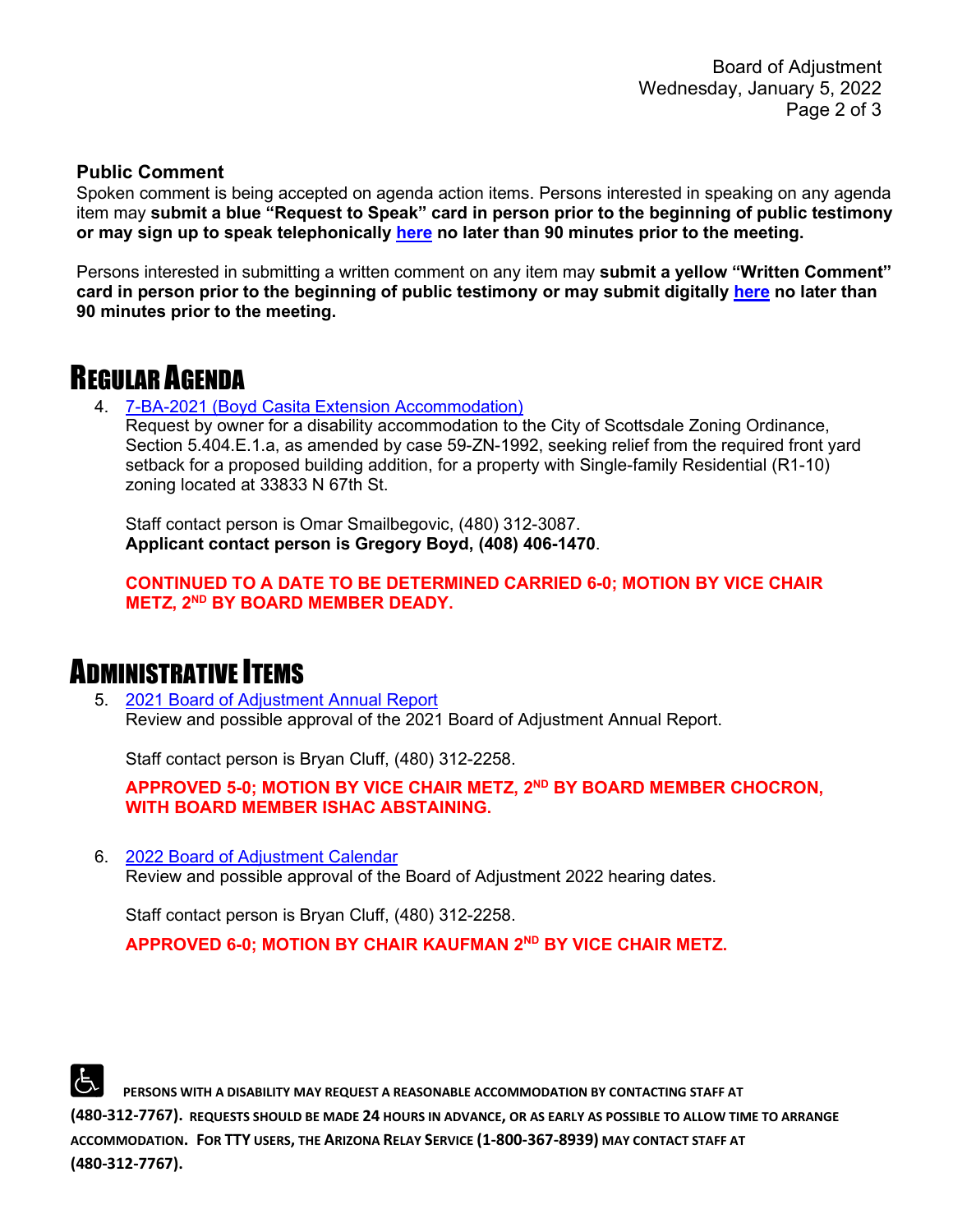#### **Public Comment**

Spoken comment is being accepted on agenda action items. Persons interested in speaking on any agenda item may **submit a blue "Request to Speak" card in person prior to the beginning of public testimony or may sign up to speak telephonically [here](https://www.scottsdaleaz.gov/boards/board-of-adjustment/spoken-comment) no later than 90 minutes prior to the meeting.**

Persons interested in submitting a written comment on any item may **submit a yellow "Written Comment" card in person prior to the beginning of public testimony or may submit digitally [here](https://www.scottsdaleaz.gov/boards/board-of-adjustment/public-comment) no later than 90 minutes prior to the meeting.**

## REGULAR AGENDA

4. [7-BA-2021 \(Boyd Casita Extension Accommodation\)](https://eservices.scottsdaleaz.gov/planning/projectsummary/ba_reports/BA_7_BA_2021.pdf)

Request by owner for a disability accommodation to the City of Scottsdale Zoning Ordinance, Section 5.404.E.1.a, as amended by case 59-ZN-1992, seeking relief from the required front yard setback for a proposed building addition, for a property with Single-family Residential (R1-10) zoning located at 33833 N 67th St.

Staff contact person is Omar Smailbegovic, (480) 312-3087. **Applicant contact person is Gregory Boyd, (408) 406-1470**.

**CONTINUED TO A DATE TO BE DETERMINED CARRIED 6-0; MOTION BY VICE CHAIR METZ, 2ND BY BOARD MEMBER DEADY.**

# ADMINISTRATIVE ITEMS

5. [2021 Board of Adjustment Annual Report](https://eservices.scottsdaleaz.gov/planning/projectsummary/unrelated_documents/BOA%20Annual%20Report%202021.pdf) Review and possible approval of the 2021 Board of Adjustment Annual Report.

Staff contact person is Bryan Cluff, (480) 312-2258.

**APPROVED 5-0; MOTION BY VICE CHAIR METZ, 2ND BY BOARD MEMBER CHOCRON, WITH BOARD MEMBER ISHAC ABSTAINING.**

6. [2022 Board of Adjustment Calendar](https://eservices.scottsdaleaz.gov/planning/projectsummary/unrelated_documents/2022_BOA_Hearing_Dates_Draft.pdf) Review and possible approval of the Board of Adjustment 2022 hearing dates.

Staff contact person is Bryan Cluff, (480) 312-2258.

**APPROVED 6-0; MOTION BY CHAIR KAUFMAN 2ND BY VICE CHAIR METZ.**



 **PERSONS WITH A DISABILITY MAY REQUEST A REASONABLE ACCOMMODATION BY CONTACTING STAFF AT (480-312-7767). REQUESTS SHOULD BE MADE 24 HOURS IN ADVANCE, OR AS EARLY AS POSSIBLE TO ALLOW TIME TO ARRANGE ACCOMMODATION. FOR TTY USERS, THE ARIZONA RELAY SERVICE (1-800-367-8939) MAY CONTACT STAFF AT (480-312-7767).**